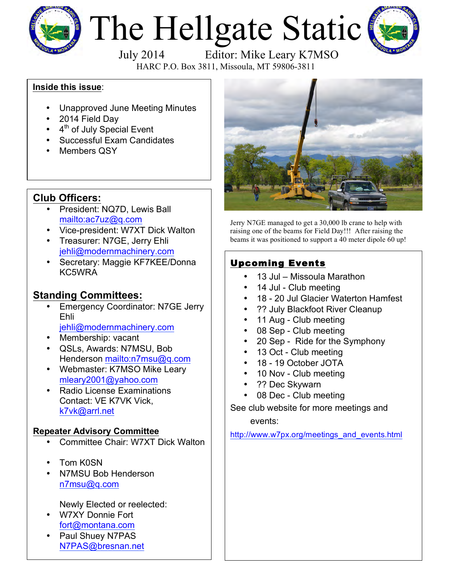

# The Hellgate Static



HARC P.O. Box 3811, Missoula, MT 59806-3811

#### **Inside this issue**:

- Unapproved June Meeting Minutes
- 2014 Field Day
- $\cdot$  4<sup>th</sup> of July Special Event
- Successful Exam Candidates
- Members QSY

### **Club Officers:**

- President: NQ7D, Lewis Ball mailto:ac7uz@q.com
- Vice-president: W7XT Dick Walton
- Treasurer: N7GE, Jerry Ehli jehli@modernmachinery.com
- Secretary: Maggie KF7KEE/Donna KC5WRA

## **Standing Committees:**

- **Emergency Coordinator: N7GE Jerry** Ehli jehli@modernmachinery.com
- Membership: vacant
- QSLs, Awards: N7MSU, Bob Henderson mailto:n7msu@q.com
- Webmaster: K7MSO Mike Leary mleary2001@yahoo.com
- Radio License Examinations Contact: VE K7VK Vick, k7vk@arrl.net

#### **Repeater Advisory Committee**

- Committee Chair: W7XT Dick Walton
- Tom K0SN
- N7MSU Bob Henderson n7msu@q.com

Newly Elected or reelected:

- W7XY Donnie Fort fort@montana.com
- Paul Shuey N7PAS N7PAS@bresnan.net



Jerry N7GE managed to get a 30,000 lb crane to help with raising one of the beams for Field Day!!! After raising the beams it was positioned to support a 40 meter dipole 60 up!

## Upcoming Events

- 13 Jul Missoula Marathon
- 14 Jul Club meeting
- 18 20 Jul Glacier Waterton Hamfest
- ?? July Blackfoot River Cleanup
- 11 Aug Club meeting
- 08 Sep Club meeting
- 20 Sep Ride for the Symphony
- 13 Oct Club meeting
- 18 19 October JOTA
- 10 Nov Club meeting
- ?? Dec Skywarn
- 08 Dec Club meeting

See club website for more meetings and events:

http://www.w7px.org/meetings\_and\_events.html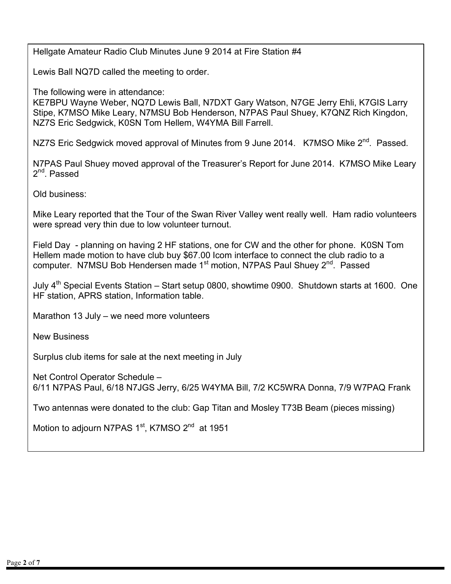Hellgate Amateur Radio Club Minutes June 9 2014 at Fire Station #4

Lewis Ball NQ7D called the meeting to order.

The following were in attendance:

KE7BPU Wayne Weber, NQ7D Lewis Ball, N7DXT Gary Watson, N7GE Jerry Ehli, K7GIS Larry Stipe, K7MSO Mike Leary, N7MSU Bob Henderson, N7PAS Paul Shuey, K7QNZ Rich Kingdon, NZ7S Eric Sedgwick, K0SN Tom Hellem, W4YMA Bill Farrell.

NZ7S Eric Sedgwick moved approval of Minutes from 9 June 2014. K7MSO Mike 2<sup>nd</sup>. Passed.

N7PAS Paul Shuey moved approval of the Treasurer's Report for June 2014. K7MSO Mike Leary 2nd. Passed

Old business:

Mike Leary reported that the Tour of the Swan River Valley went really well. Ham radio volunteers were spread very thin due to low volunteer turnout.

Field Day - planning on having 2 HF stations, one for CW and the other for phone. K0SN Tom Hellem made motion to have club buy \$67.00 Icom interface to connect the club radio to a computer. N7MSU Bob Hendersen made 1<sup>st</sup> motion, N7PAS Paul Shuey 2<sup>nd</sup>. Passed

July 4<sup>th</sup> Special Events Station – Start setup 0800, showtime 0900. Shutdown starts at 1600. One HF station, APRS station, Information table.

Marathon 13 July – we need more volunteers

New Business

Surplus club items for sale at the next meeting in July

Net Control Operator Schedule – 6/11 N7PAS Paul, 6/18 N7JGS Jerry, 6/25 W4YMA Bill, 7/2 KC5WRA Donna, 7/9 W7PAQ Frank

Two antennas were donated to the club: Gap Titan and Mosley T73B Beam (pieces missing)

Motion to adjourn N7PAS 1<sup>st</sup>, K7MSO 2<sup>nd</sup> at 1951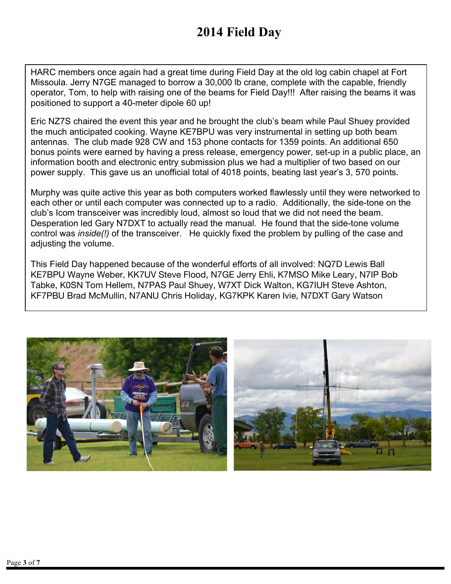# **2014 Field Day**

HARC members once again had a great time during Field Day at the old log cabin chapel at Fort Missoula. Jerry N7GE managed to borrow a 30,000 lb crane, complete with the capable, friendly operator, Tom, to help with raising one of the beams for Field Day!!! After raising the beams it was positioned to support a 40-meter dipole 60 up!

Eric NZ7S chaired the event this year and he brought the club's beam while Paul Shuey provided the much anticipated cooking. Wayne KE7BPU was very instrumental in setting up both beam antennas. The club made 928 CW and 153 phone contacts for 1359 points. An additional 650 bonus points were earned by having a press release, emergency power, set-up in a public place, an information booth and electronic entry submission plus we had a multiplier of two based on our power supply. This gave us an unofficial total of 4018 points, beating last year's 3, 570 points.

Murphy was quite active this year as both computers worked flawlessly until they were networked to each other or until each computer was connected up to a radio. Additionally, the side-tone on the club's Icom transceiver was incredibly loud, almost so loud that we did not need the beam. Desperation led Gary N7DXT to actually read the manual. He found that the side-tone volume control was *inside(!)* of the transceiver. He quickly fixed the problem by pulling of the case and adjusting the volume.

This Field Day happened because of the wonderful efforts of all involved: NQ7D Lewis Ball KE7BPU Wayne Weber, KK7UV Steve Flood, N7GE Jerry Ehli, K7MSO Mike Leary, N7IP Bob Tabke, K0SN Tom Hellem, N7PAS Paul Shuey, W7XT Dick Walton, KG7IUH Steve Ashton, KF7PBU Brad McMullin, N7ANU Chris Holiday, KG7KPK Karen Ivie, N7DXT Gary Watson

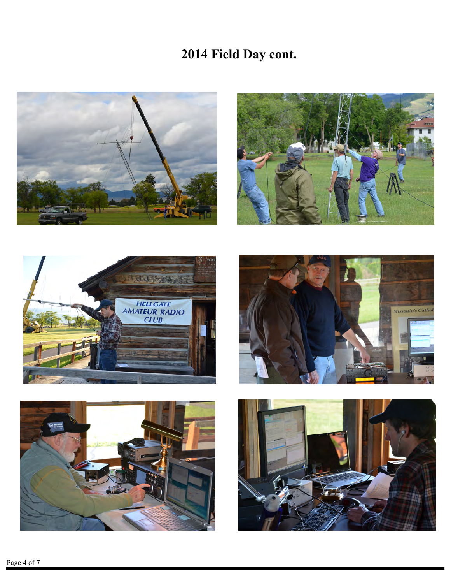# **2014 Field Day cont.**











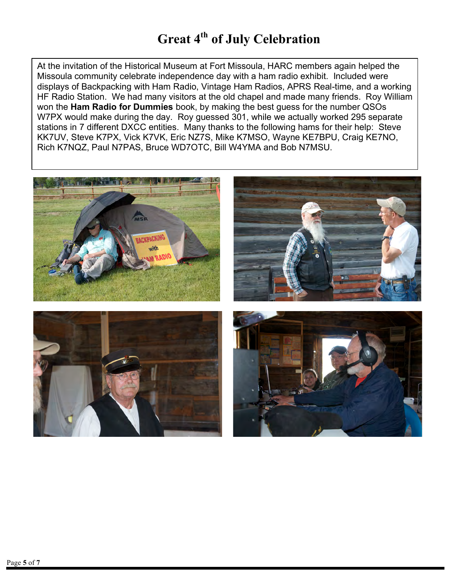## **Great 4th of July Celebration**

At the invitation of the Historical Museum at Fort Missoula, HARC members again helped the Missoula community celebrate independence day with a ham radio exhibit. Included were displays of Backpacking with Ham Radio, Vintage Ham Radios, APRS Real-time, and a working HF Radio Station. We had many visitors at the old chapel and made many friends. Roy William won the **Ham Radio for Dummies** book, by making the best guess for the number QSOs W7PX would make during the day. Roy guessed 301, while we actually worked 295 separate stations in 7 different DXCC entities. Many thanks to the following hams for their help: Steve KK7UV, Steve K7PX, Vick K7VK, Eric NZ7S, Mike K7MSO, Wayne KE7BPU, Craig KE7NO, Rich K7NQZ, Paul N7PAS, Bruce WD7OTC, Bill W4YMA and Bob N7MSU.

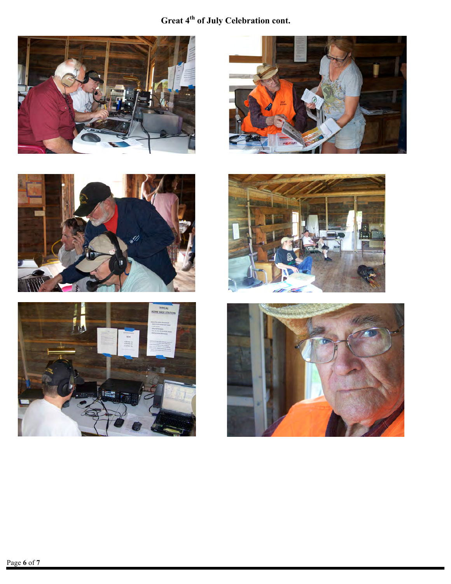## **Great 4th of July Celebration cont.**